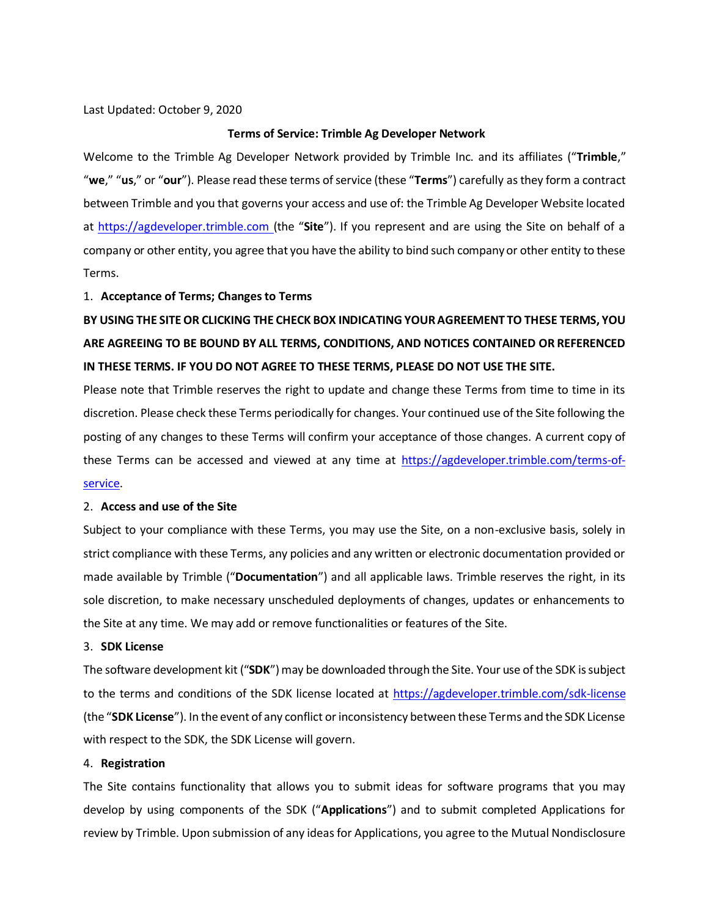Last Updated: October 9, 2020

#### **Terms of Service: Trimble Ag Developer Network**

Welcome to the Trimble Ag Developer Network provided by Trimble Inc. and its affiliates ("**Trimble**," "**we**," "**us**," or "**our**"). Please read these terms of service (these "**Terms**") carefully as they form a contract between Trimble and you that governs your access and use of: the Trimble Ag Developer Website located at https://agdeveloper.trimble.com (the "**Site**"). If you represent and are using the Site on behalf of a company or other entity, you agree that you have the ability to bind such company or other entity to these Terms.

#### 1. **Acceptance of Terms; Changes to Terms**

# **BY USING THE SITE OR CLICKING THE CHECK BOX INDICATING YOUR AGREEMENT TO THESE TERMS, YOU ARE AGREEING TO BE BOUND BY ALL TERMS, CONDITIONS, AND NOTICES CONTAINED OR REFERENCED IN THESE TERMS. IF YOU DO NOT AGREE TO THESE TERMS, PLEASE DO NOT USE THE SITE.**

Please note that Trimble reserves the right to update and change these Terms from time to time in its discretion. Please check these Terms periodically for changes. Your continued use of the Site following the posting of any changes to these Terms will confirm your acceptance of those changes. A current copy of these Terms can be accessed and viewed at any time at [https://agdeveloper.trimble.com/terms-of](https://agdeveloper.trimble.com/terms-of-service)[service.](https://agdeveloper.trimble.com/terms-of-service)

#### 2. **Access and use of the Site**

Subject to your compliance with these Terms, you may use the Site, on a non-exclusive basis, solely in strict compliance with these Terms, any policies and any written or electronic documentation provided or made available by Trimble ("**Documentation**") and all applicable laws. Trimble reserves the right, in its sole discretion, to make necessary unscheduled deployments of changes, updates or enhancements to the Site at any time. We may add or remove functionalities or features of the Site.

#### 3. **SDK License**

The software development kit ("**SDK**") may be downloaded through the Site. Your use of the SDK is subject to the terms and conditions of the SDK license located at<https://agdeveloper.trimble.com/sdk-license> (the "**SDK License**"). In the event of any conflict or inconsistency between these Terms and the SDK License with respect to the SDK, the SDK License will govern.

## 4. **Registration**

The Site contains functionality that allows you to submit ideas for software programs that you may develop by using components of the SDK ("**Applications**") and to submit completed Applications for review by Trimble. Upon submission of any ideas for Applications, you agree to the Mutual Nondisclosure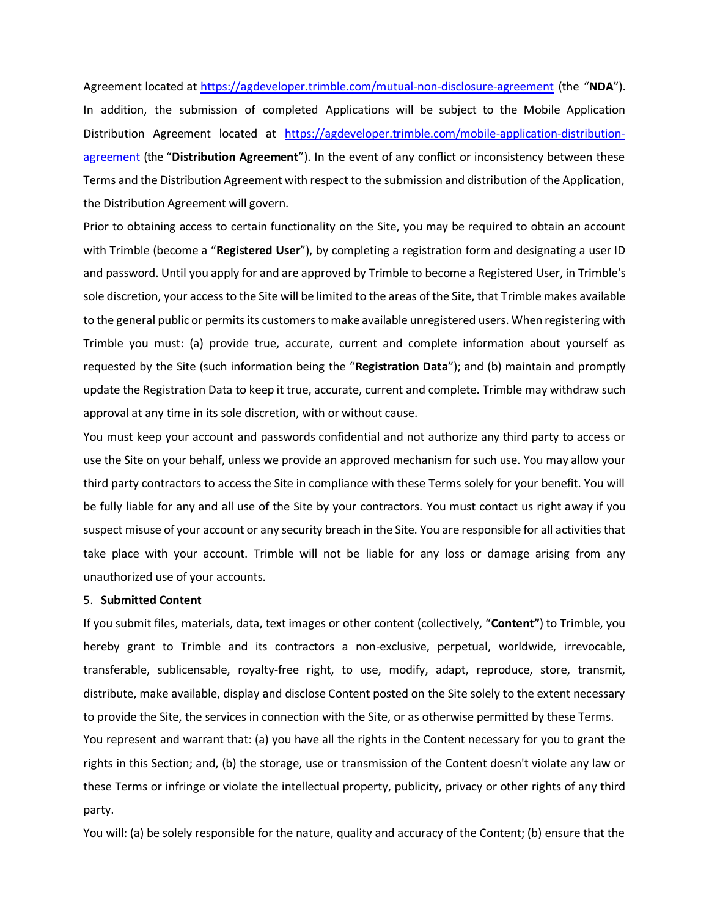Agreement located at<https://agdeveloper.trimble.com/mutual>[-non-disclosure-agreement](http://www.agdeveloper.trimble.com/mutual-non-disclosure-agreement) (the "**NDA**"). In addition, the submission of completed Applications will be subject to the Mobile Application Distribution Agreement located at [https://agdeveloper.trimble.com/mobile-application-distribution](https://agdeveloper.trimble.com/mobile-application-distribution-agreement)[agreement](https://agdeveloper.trimble.com/mobile-application-distribution-agreement) (the "**Distribution Agreement**"). In the event of any conflict or inconsistency between these Terms and the Distribution Agreement with respect to the submission and distribution of the Application, the Distribution Agreement will govern.

Prior to obtaining access to certain functionality on the Site, you may be required to obtain an account with Trimble (become a "**Registered User**"), by completing a registration form and designating a user ID and password. Until you apply for and are approved by Trimble to become a Registered User, in Trimble's sole discretion, your access to the Site will be limited to the areas of the Site, that Trimble makes available to the general public or permits its customers to make available unregistered users. When registering with Trimble you must: (a) provide true, accurate, current and complete information about yourself as requested by the Site (such information being the "**Registration Data**"); and (b) maintain and promptly update the Registration Data to keep it true, accurate, current and complete. Trimble may withdraw such approval at any time in its sole discretion, with or without cause.

You must keep your account and passwords confidential and not authorize any third party to access or use the Site on your behalf, unless we provide an approved mechanism for such use. You may allow your third party contractors to access the Site in compliance with these Terms solely for your benefit. You will be fully liable for any and all use of the Site by your contractors. You must contact us right away if you suspect misuse of your account or any security breach in the Site. You are responsible for all activities that take place with your account. Trimble will not be liable for any loss or damage arising from any unauthorized use of your accounts.

#### 5. **Submitted Content**

If you submit files, materials, data, text images or other content (collectively, "**Content"**) to Trimble, you hereby grant to Trimble and its contractors a non-exclusive, perpetual, worldwide, irrevocable, transferable, sublicensable, royalty-free right, to use, modify, adapt, reproduce, store, transmit, distribute, make available, display and disclose Content posted on the Site solely to the extent necessary to provide the Site, the services in connection with the Site, or as otherwise permitted by these Terms.

You represent and warrant that: (a) you have all the rights in the Content necessary for you to grant the rights in this Section; and, (b) the storage, use or transmission of the Content doesn't violate any law or these Terms or infringe or violate the intellectual property, publicity, privacy or other rights of any third party.

You will: (a) be solely responsible for the nature, quality and accuracy of the Content; (b) ensure that the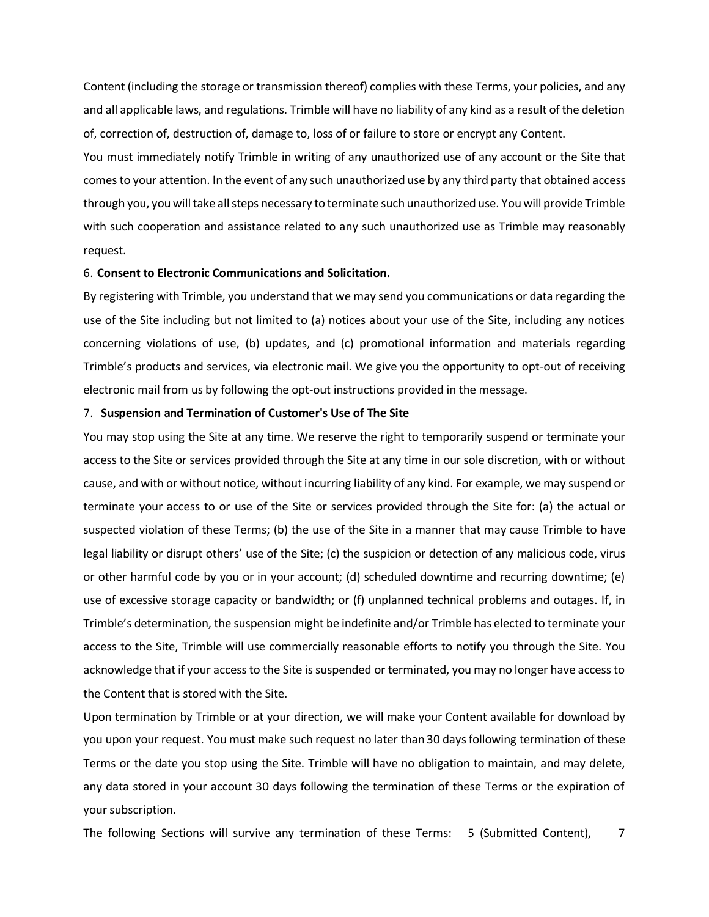Content (including the storage or transmission thereof) complies with these Terms, your policies, and any and all applicable laws, and regulations. Trimble will have no liability of any kind as a result of the deletion of, correction of, destruction of, damage to, loss of or failure to store or encrypt any Content.

You must immediately notify Trimble in writing of any unauthorized use of any account or the Site that comes to your attention. In the event of any such unauthorized use by any third party that obtained access through you, you will take all steps necessary to terminate such unauthorized use. You will provide Trimble with such cooperation and assistance related to any such unauthorized use as Trimble may reasonably request.

## 6. **Consent to Electronic Communications and Solicitation.**

By registering with Trimble, you understand that we may send you communications or data regarding the use of the Site including but not limited to (a) notices about your use of the Site, including any notices concerning violations of use, (b) updates, and (c) promotional information and materials regarding Trimble's products and services, via electronic mail. We give you the opportunity to opt-out of receiving electronic mail from us by following the opt-out instructions provided in the message.

### 7. **Suspension and Termination of Customer's Use of The Site**

You may stop using the Site at any time. We reserve the right to temporarily suspend or terminate your access to the Site or services provided through the Site at any time in our sole discretion, with or without cause, and with or without notice, without incurring liability of any kind. For example, we may suspend or terminate your access to or use of the Site or services provided through the Site for: (a) the actual or suspected violation of these Terms; (b) the use of the Site in a manner that may cause Trimble to have legal liability or disrupt others' use of the Site; (c) the suspicion or detection of any malicious code, virus or other harmful code by you or in your account; (d) scheduled downtime and recurring downtime; (e) use of excessive storage capacity or bandwidth; or (f) unplanned technical problems and outages. If, in Trimble's determination, the suspension might be indefinite and/or Trimble has elected to terminate your access to the Site, Trimble will use commercially reasonable efforts to notify you through the Site. You acknowledge that if your access to the Site is suspended or terminated, you may no longer have access to the Content that is stored with the Site.

Upon termination by Trimble or at your direction, we will make your Content available for download by you upon your request. You must make such request no later than 30 days following termination of these Terms or the date you stop using the Site. Trimble will have no obligation to maintain, and may delete, any data stored in your account 30 days following the termination of these Terms or the expiration of your subscription.

The following Sections will survive any termination of these Terms: 5 (Submitted Content), 7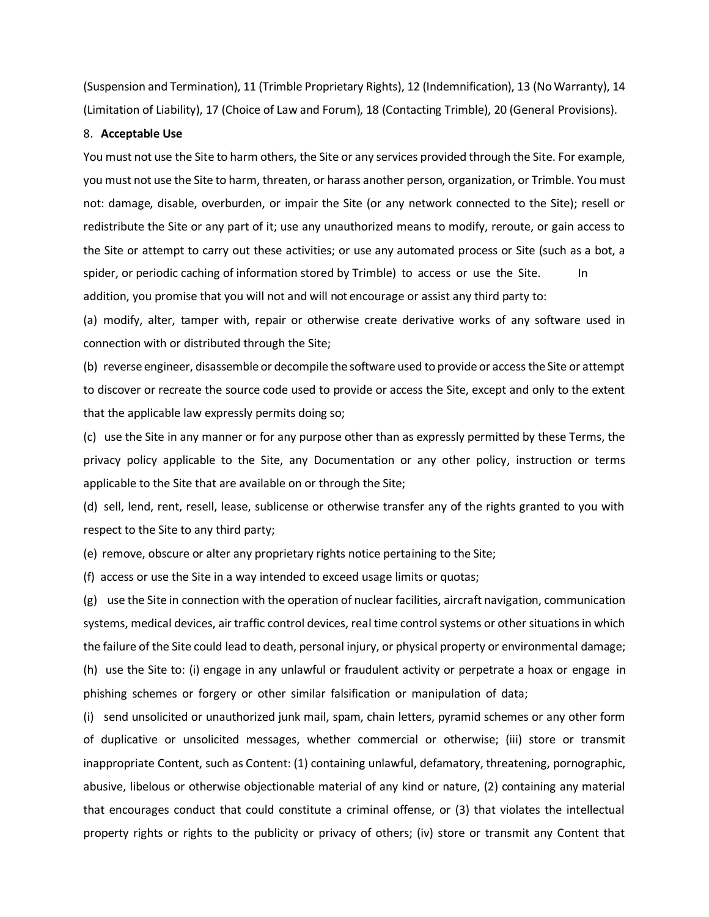(Suspension and Termination), 11 (Trimble Proprietary Rights), 12 (Indemnification), 13 (No Warranty), 14 (Limitation of Liability), 17 (Choice of Law and Forum), 18 (Contacting Trimble), 20 (General Provisions).

## 8. **Acceptable Use**

You must not use the Site to harm others, the Site or any services provided through the Site. For example, you must not use the Site to harm, threaten, or harass another person, organization, or Trimble. You must not: damage, disable, overburden, or impair the Site (or any network connected to the Site); resell or redistribute the Site or any part of it; use any unauthorized means to modify, reroute, or gain access to the Site or attempt to carry out these activities; or use any automated process or Site (such as a bot, a spider, or periodic caching of information stored by Trimble) to access or use the Site. In addition, you promise that you will not and will not encourage or assist any third party to:

(a) modify, alter, tamper with, repair or otherwise create derivative works of any software used in connection with or distributed through the Site;

(b) reverse engineer, disassemble or decompile the software used to provide or access the Site or attempt to discover or recreate the source code used to provide or access the Site, except and only to the extent that the applicable law expressly permits doing so;

(c) use the Site in any manner or for any purpose other than as expressly permitted by these Terms, the privacy policy applicable to the Site, any Documentation or any other policy, instruction or terms applicable to the Site that are available on or through the Site;

(d) sell, lend, rent, resell, lease, sublicense or otherwise transfer any of the rights granted to you with respect to the Site to any third party;

(e) remove, obscure or alter any proprietary rights notice pertaining to the Site;

(f) access or use the Site in a way intended to exceed usage limits or quotas;

(g) use the Site in connection with the operation of nuclear facilities, aircraft navigation, communication systems, medical devices, air traffic control devices, real time control systems or other situations in which the failure of the Site could lead to death, personal injury, or physical property or environmental damage; (h) use the Site to: (i) engage in any unlawful or fraudulent activity or perpetrate a hoax or engage in phishing schemes or forgery or other similar falsification or manipulation of data;

(i) send unsolicited or unauthorized junk mail, spam, chain letters, pyramid schemes or any other form of duplicative or unsolicited messages, whether commercial or otherwise; (iii) store or transmit inappropriate Content, such as Content: (1) containing unlawful, defamatory, threatening, pornographic, abusive, libelous or otherwise objectionable material of any kind or nature, (2) containing any material that encourages conduct that could constitute a criminal offense, or (3) that violates the intellectual property rights or rights to the publicity or privacy of others; (iv) store or transmit any Content that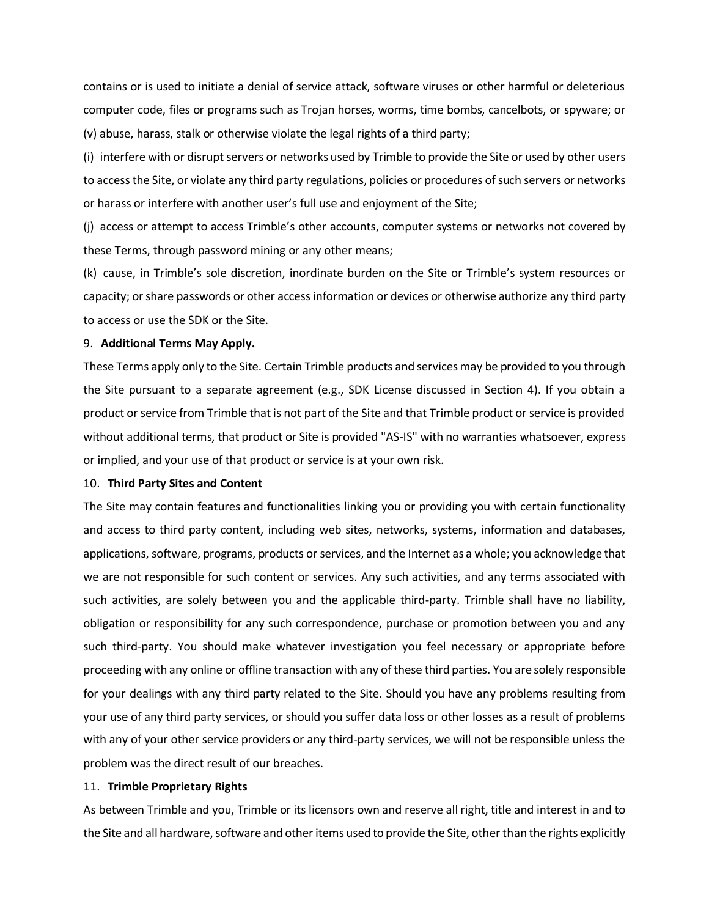contains or is used to initiate a denial of service attack, software viruses or other harmful or deleterious computer code, files or programs such as Trojan horses, worms, time bombs, cancelbots, or spyware; or (v) abuse, harass, stalk or otherwise violate the legal rights of a third party;

(i) interfere with or disrupt servers or networks used by Trimble to provide the Site or used by other users to access the Site, or violate any third party regulations, policies or procedures of such servers or networks or harass or interfere with another user's full use and enjoyment of the Site;

(j) access or attempt to access Trimble's other accounts, computer systems or networks not covered by these Terms, through password mining or any other means;

(k) cause, in Trimble's sole discretion, inordinate burden on the Site or Trimble's system resources or capacity; orshare passwords or other access information or devices or otherwise authorize any third party to access or use the SDK or the Site.

## 9. **Additional Terms May Apply.**

These Terms apply only to the Site. Certain Trimble products and services may be provided to you through the Site pursuant to a separate agreement (e.g., SDK License discussed in Section 4). If you obtain a product or service from Trimble that is not part of the Site and that Trimble product or service is provided without additional terms, that product or Site is provided "AS-IS" with no warranties whatsoever, express or implied, and your use of that product or service is at your own risk.

#### 10. **Third Party Sites and Content**

The Site may contain features and functionalities linking you or providing you with certain functionality and access to third party content, including web sites, networks, systems, information and databases, applications, software, programs, products or services, and the Internet as a whole; you acknowledge that we are not responsible for such content or services. Any such activities, and any terms associated with such activities, are solely between you and the applicable third-party. Trimble shall have no liability, obligation or responsibility for any such correspondence, purchase or promotion between you and any such third-party. You should make whatever investigation you feel necessary or appropriate before proceeding with any online or offline transaction with any of these third parties. You are solely responsible for your dealings with any third party related to the Site. Should you have any problems resulting from your use of any third party services, or should you suffer data loss or other losses as a result of problems with any of your other service providers or any third-party services, we will not be responsible unless the problem was the direct result of our breaches.

## 11. **Trimble Proprietary Rights**

As between Trimble and you, Trimble or its licensors own and reserve all right, title and interest in and to the Site and all hardware, software and other items used to provide the Site, other than the rights explicitly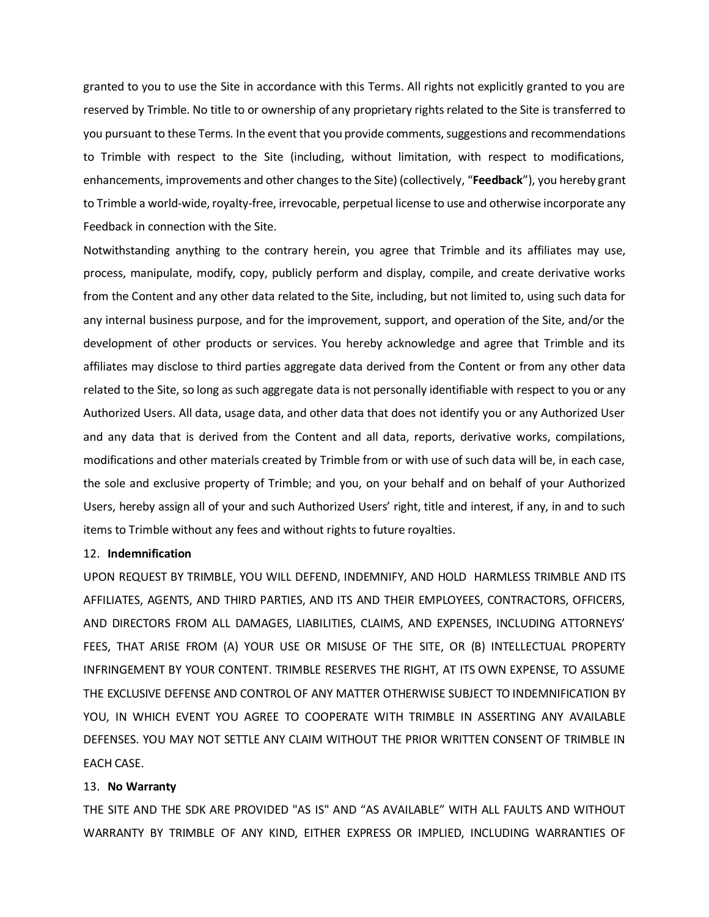granted to you to use the Site in accordance with this Terms. All rights not explicitly granted to you are reserved by Trimble. No title to or ownership of any proprietary rights related to the Site is transferred to you pursuant to these Terms. In the event that you provide comments, suggestions and recommendations to Trimble with respect to the Site (including, without limitation, with respect to modifications, enhancements, improvements and other changes to the Site) (collectively, "**Feedback**"), you hereby grant to Trimble a world-wide, royalty-free, irrevocable, perpetual license to use and otherwise incorporate any Feedback in connection with the Site.

Notwithstanding anything to the contrary herein, you agree that Trimble and its affiliates may use, process, manipulate, modify, copy, publicly perform and display, compile, and create derivative works from the Content and any other data related to the Site, including, but not limited to, using such data for any internal business purpose, and for the improvement, support, and operation of the Site, and/or the development of other products or services. You hereby acknowledge and agree that Trimble and its affiliates may disclose to third parties aggregate data derived from the Content or from any other data related to the Site, so long as such aggregate data is not personally identifiable with respect to you or any Authorized Users. All data, usage data, and other data that does not identify you or any Authorized User and any data that is derived from the Content and all data, reports, derivative works, compilations, modifications and other materials created by Trimble from or with use of such data will be, in each case, the sole and exclusive property of Trimble; and you, on your behalf and on behalf of your Authorized Users, hereby assign all of your and such Authorized Users' right, title and interest, if any, in and to such items to Trimble without any fees and without rights to future royalties.

#### 12. **Indemnification**

UPON REQUEST BY TRIMBLE, YOU WILL DEFEND, INDEMNIFY, AND HOLD HARMLESS TRIMBLE AND ITS AFFILIATES, AGENTS, AND THIRD PARTIES, AND ITS AND THEIR EMPLOYEES, CONTRACTORS, OFFICERS, AND DIRECTORS FROM ALL DAMAGES, LIABILITIES, CLAIMS, AND EXPENSES, INCLUDING ATTORNEYS' FEES, THAT ARISE FROM (A) YOUR USE OR MISUSE OF THE SITE, OR (B) INTELLECTUAL PROPERTY INFRINGEMENT BY YOUR CONTENT. TRIMBLE RESERVES THE RIGHT, AT ITS OWN EXPENSE, TO ASSUME THE EXCLUSIVE DEFENSE AND CONTROL OF ANY MATTER OTHERWISE SUBJECT TO INDEMNIFICATION BY YOU, IN WHICH EVENT YOU AGREE TO COOPERATE WITH TRIMBLE IN ASSERTING ANY AVAILABLE DEFENSES. YOU MAY NOT SETTLE ANY CLAIM WITHOUT THE PRIOR WRITTEN CONSENT OF TRIMBLE IN EACH CASE.

## 13. **No Warranty**

THE SITE AND THE SDK ARE PROVIDED "AS IS" AND "AS AVAILABLE" WITH ALL FAULTS AND WITHOUT WARRANTY BY TRIMBLE OF ANY KIND, EITHER EXPRESS OR IMPLIED, INCLUDING WARRANTIES OF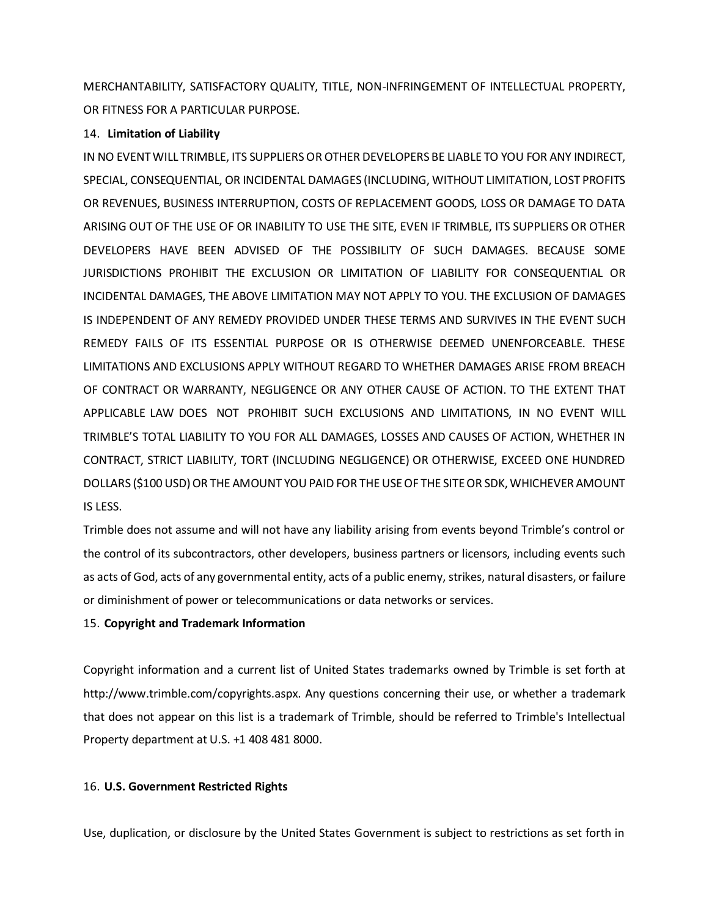MERCHANTABILITY, SATISFACTORY QUALITY, TITLE, NON-INFRINGEMENT OF INTELLECTUAL PROPERTY, OR FITNESS FOR A PARTICULAR PURPOSE.

## 14. **Limitation of Liability**

IN NO EVENT WILL TRIMBLE, ITS SUPPLIERS OR OTHER DEVELOPERS BE LIABLE TO YOU FOR ANY INDIRECT, SPECIAL, CONSEQUENTIAL, OR INCIDENTAL DAMAGES (INCLUDING, WITHOUT LIMITATION, LOST PROFITS OR REVENUES, BUSINESS INTERRUPTION, COSTS OF REPLACEMENT GOODS, LOSS OR DAMAGE TO DATA ARISING OUT OF THE USE OF OR INABILITY TO USE THE SITE, EVEN IF TRIMBLE, ITS SUPPLIERS OR OTHER DEVELOPERS HAVE BEEN ADVISED OF THE POSSIBILITY OF SUCH DAMAGES. BECAUSE SOME JURISDICTIONS PROHIBIT THE EXCLUSION OR LIMITATION OF LIABILITY FOR CONSEQUENTIAL OR INCIDENTAL DAMAGES, THE ABOVE LIMITATION MAY NOT APPLY TO YOU. THE EXCLUSION OF DAMAGES IS INDEPENDENT OF ANY REMEDY PROVIDED UNDER THESE TERMS AND SURVIVES IN THE EVENT SUCH REMEDY FAILS OF ITS ESSENTIAL PURPOSE OR IS OTHERWISE DEEMED UNENFORCEABLE. THESE LIMITATIONS AND EXCLUSIONS APPLY WITHOUT REGARD TO WHETHER DAMAGES ARISE FROM BREACH OF CONTRACT OR WARRANTY, NEGLIGENCE OR ANY OTHER CAUSE OF ACTION. TO THE EXTENT THAT APPLICABLE LAW DOES NOT PROHIBIT SUCH EXCLUSIONS AND LIMITATIONS, IN NO EVENT WILL TRIMBLE'S TOTAL LIABILITY TO YOU FOR ALL DAMAGES, LOSSES AND CAUSES OF ACTION, WHETHER IN CONTRACT, STRICT LIABILITY, TORT (INCLUDING NEGLIGENCE) OR OTHERWISE, EXCEED ONE HUNDRED DOLLARS (\$100 USD) OR THE AMOUNT YOU PAID FOR THE USE OF THE SITE OR SDK, WHICHEVER AMOUNT IS LESS.

Trimble does not assume and will not have any liability arising from events beyond Trimble's control or the control of its subcontractors, other developers, business partners or licensors, including events such as acts of God, acts of any governmental entity, acts of a public enemy, strikes, natural disasters, or failure or diminishment of power or telecommunications or data networks or services.

# 15. **Copyright and Trademark Information**

Copyright information and a current list of United States trademarks owned by Trimble is set forth at [http://www.trimble.com/copyrights.aspx. A](http://www.trimble.com/copyrights.aspx)ny questions concerning their use, or whether a trademark that does not appear on this list is a trademark of Trimble, should be referred to Trimble's Intellectual Property department at U.S. +1 408 481 8000.

# 16. **U.S. Government Restricted Rights**

Use, duplication, or disclosure by the United States Government is subject to restrictions as set forth in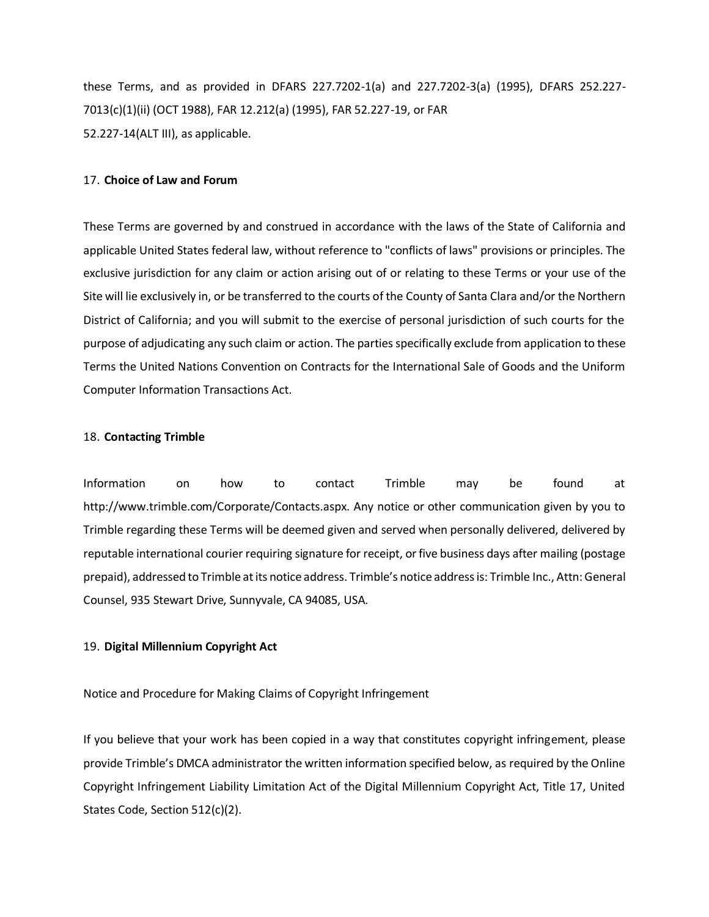these Terms, and as provided in DFARS 227.7202-1(a) and 227.7202-3(a) (1995), DFARS 252.227- 7013(c)(1)(ii) (OCT 1988), FAR 12.212(a) (1995), FAR 52.227-19, or FAR 52.227-14(ALT III), as applicable.

#### 17. **Choice of Law and Forum**

These Terms are governed by and construed in accordance with the laws of the State of California and applicable United States federal law, without reference to "conflicts of laws" provisions or principles. The exclusive jurisdiction for any claim or action arising out of or relating to these Terms or your use of the Site will lie exclusively in, or be transferred to the courts of the County of Santa Clara and/or the Northern District of California; and you will submit to the exercise of personal jurisdiction of such courts for the purpose of adjudicating any such claim or action. The parties specifically exclude from application to these Terms the United Nations Convention on Contracts for the International Sale of Goods and the Uniform Computer Information Transactions Act.

#### 18. **Contacting Trimble**

Information on how to contact Trimble may be found at [http://www.trimble.com/Corporate/Contacts.aspx.](http://www.trimble.com/Corporate/Contacts.aspx) Any notice or other communication given by you to Trimble regarding these Terms will be deemed given and served when personally delivered, delivered by reputable international courier requiring signature for receipt, or five business days after mailing (postage prepaid), addressed to Trimble at its notice address. Trimble's notice address is: Trimble Inc., Attn: General Counsel, 935 Stewart Drive, Sunnyvale, CA 94085, USA.

## 19. **Digital Millennium Copyright Act**

Notice and Procedure for Making Claims of Copyright Infringement

If you believe that your work has been copied in a way that constitutes copyright infringement, please provide Trimble's DMCA administrator the written information specified below, as required by the Online Copyright Infringement Liability Limitation Act of the Digital Millennium Copyright Act, Title 17, United States Code, Section 512(c)(2).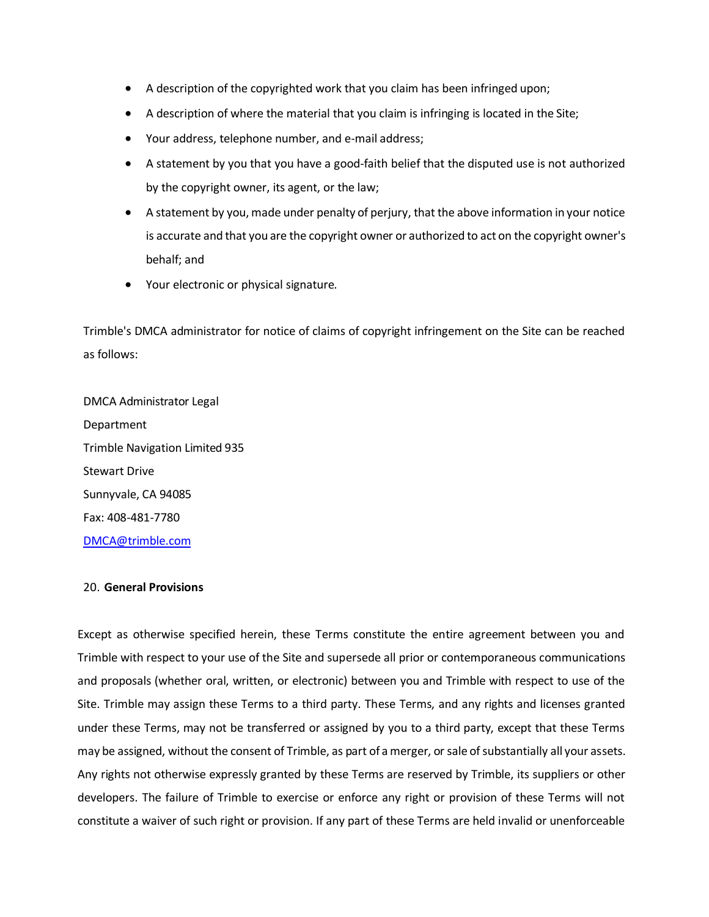- A description of the copyrighted work that you claim has been infringed upon;
- A description of where the material that you claim is infringing is located in the Site;
- Your address, telephone number, and e-mail address;
- A statement by you that you have a good-faith belief that the disputed use is not authorized by the copyright owner, its agent, or the law;
- A statement by you, made under penalty of perjury, that the above information in your notice is accurate and that you are the copyright owner or authorized to act on the copyright owner's behalf; and
- Your electronic or physical signature.

Trimble's DMCA administrator for notice of claims of copyright infringement on the Site can be reached as follows:

DMCA Administrator Legal Department Trimble Navigation Limited 935 Stewart Drive Sunnyvale, CA 94085 Fax: 408-481-7780 [DMCA@trimble.com](mailto:DMCA@trimble.com)

## 20. **General Provisions**

Except as otherwise specified herein, these Terms constitute the entire agreement between you and Trimble with respect to your use of the Site and supersede all prior or contemporaneous communications and proposals (whether oral, written, or electronic) between you and Trimble with respect to use of the Site. Trimble may assign these Terms to a third party. These Terms, and any rights and licenses granted under these Terms, may not be transferred or assigned by you to a third party, except that these Terms may be assigned, without the consent of Trimble, as part of a merger, or sale of substantially all your assets. Any rights not otherwise expressly granted by these Terms are reserved by Trimble, its suppliers or other developers. The failure of Trimble to exercise or enforce any right or provision of these Terms will not constitute a waiver of such right or provision. If any part of these Terms are held invalid or unenforceable